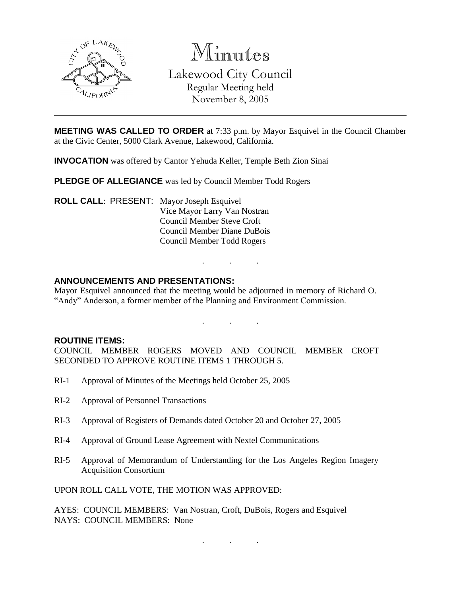

Minutes Lakewood City Council Regular Meeting held November 8, 2005

**MEETING WAS CALLED TO ORDER** at 7:33 p.m. by Mayor Esquivel in the Council Chamber at the Civic Center, 5000 Clark Avenue, Lakewood, California.

**INVOCATION** was offered by Cantor Yehuda Keller, Temple Beth Zion Sinai

**PLEDGE OF ALLEGIANCE** was led by Council Member Todd Rogers

**ROLL CALL**: PRESENT: Mayor Joseph Esquivel Vice Mayor Larry Van Nostran Council Member Steve Croft Council Member Diane DuBois Council Member Todd Rogers

## **ANNOUNCEMENTS AND PRESENTATIONS:**

Mayor Esquivel announced that the meeting would be adjourned in memory of Richard O. "Andy" Anderson, a former member of the Planning and Environment Commission.

. . .

. . .

#### **ROUTINE ITEMS:**

COUNCIL MEMBER ROGERS MOVED AND COUNCIL MEMBER CROFT SECONDED TO APPROVE ROUTINE ITEMS 1 THROUGH 5.

- RI-1 Approval of Minutes of the Meetings held October 25, 2005
- RI-2 Approval of Personnel Transactions
- RI-3 Approval of Registers of Demands dated October 20 and October 27, 2005
- RI-4 Approval of Ground Lease Agreement with Nextel Communications
- RI-5 Approval of Memorandum of Understanding for the Los Angeles Region Imagery Acquisition Consortium

UPON ROLL CALL VOTE, THE MOTION WAS APPROVED:

AYES: COUNCIL MEMBERS: Van Nostran, Croft, DuBois, Rogers and Esquivel NAYS: COUNCIL MEMBERS: None

. . .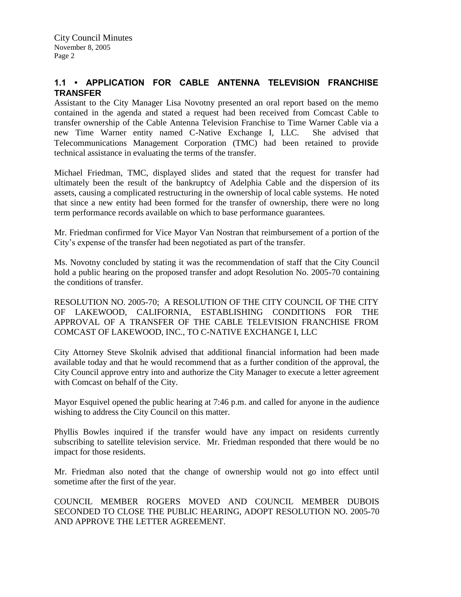# **1.1 • APPLICATION FOR CABLE ANTENNA TELEVISION FRANCHISE TRANSFER**

Assistant to the City Manager Lisa Novotny presented an oral report based on the memo contained in the agenda and stated a request had been received from Comcast Cable to transfer ownership of the Cable Antenna Television Franchise to Time Warner Cable via a new Time Warner entity named C-Native Exchange I, LLC. She advised that Telecommunications Management Corporation (TMC) had been retained to provide technical assistance in evaluating the terms of the transfer.

Michael Friedman, TMC, displayed slides and stated that the request for transfer had ultimately been the result of the bankruptcy of Adelphia Cable and the dispersion of its assets, causing a complicated restructuring in the ownership of local cable systems. He noted that since a new entity had been formed for the transfer of ownership, there were no long term performance records available on which to base performance guarantees.

Mr. Friedman confirmed for Vice Mayor Van Nostran that reimbursement of a portion of the City's expense of the transfer had been negotiated as part of the transfer.

Ms. Novotny concluded by stating it was the recommendation of staff that the City Council hold a public hearing on the proposed transfer and adopt Resolution No. 2005-70 containing the conditions of transfer.

RESOLUTION NO. 2005-70; A RESOLUTION OF THE CITY COUNCIL OF THE CITY OF LAKEWOOD, CALIFORNIA, ESTABLISHING CONDITIONS FOR THE APPROVAL OF A TRANSFER OF THE CABLE TELEVISION FRANCHISE FROM COMCAST OF LAKEWOOD, INC., TO C-NATIVE EXCHANGE I, LLC

City Attorney Steve Skolnik advised that additional financial information had been made available today and that he would recommend that as a further condition of the approval, the City Council approve entry into and authorize the City Manager to execute a letter agreement with Comcast on behalf of the City.

Mayor Esquivel opened the public hearing at 7:46 p.m. and called for anyone in the audience wishing to address the City Council on this matter.

Phyllis Bowles inquired if the transfer would have any impact on residents currently subscribing to satellite television service. Mr. Friedman responded that there would be no impact for those residents.

Mr. Friedman also noted that the change of ownership would not go into effect until sometime after the first of the year.

COUNCIL MEMBER ROGERS MOVED AND COUNCIL MEMBER DUBOIS SECONDED TO CLOSE THE PUBLIC HEARING, ADOPT RESOLUTION NO. 2005-70 AND APPROVE THE LETTER AGREEMENT.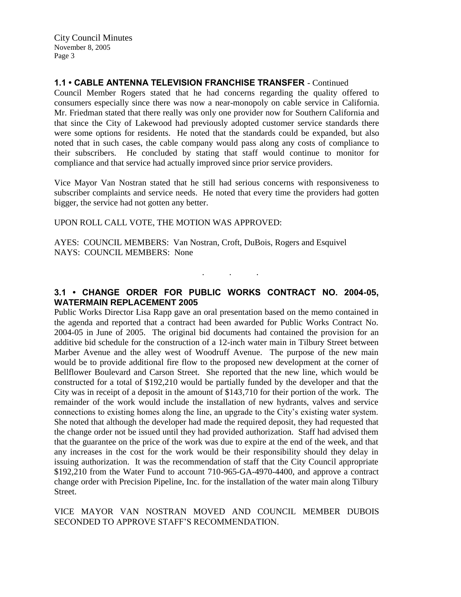City Council Minutes November 8, 2005 Page 3

## **1.1 • CABLE ANTENNA TELEVISION FRANCHISE TRANSFER** - Continued

Council Member Rogers stated that he had concerns regarding the quality offered to consumers especially since there was now a near-monopoly on cable service in California. Mr. Friedman stated that there really was only one provider now for Southern California and that since the City of Lakewood had previously adopted customer service standards there were some options for residents. He noted that the standards could be expanded, but also noted that in such cases, the cable company would pass along any costs of compliance to their subscribers. He concluded by stating that staff would continue to monitor for compliance and that service had actually improved since prior service providers.

Vice Mayor Van Nostran stated that he still had serious concerns with responsiveness to subscriber complaints and service needs. He noted that every time the providers had gotten bigger, the service had not gotten any better.

### UPON ROLL CALL VOTE, THE MOTION WAS APPROVED:

AYES: COUNCIL MEMBERS: Van Nostran, Croft, DuBois, Rogers and Esquivel NAYS: COUNCIL MEMBERS: None

# **3.1 • CHANGE ORDER FOR PUBLIC WORKS CONTRACT NO. 2004-05, WATERMAIN REPLACEMENT 2005**

. . .

Public Works Director Lisa Rapp gave an oral presentation based on the memo contained in the agenda and reported that a contract had been awarded for Public Works Contract No. 2004-05 in June of 2005. The original bid documents had contained the provision for an additive bid schedule for the construction of a 12-inch water main in Tilbury Street between Marber Avenue and the alley west of Woodruff Avenue. The purpose of the new main would be to provide additional fire flow to the proposed new development at the corner of Bellflower Boulevard and Carson Street. She reported that the new line, which would be constructed for a total of \$192,210 would be partially funded by the developer and that the City was in receipt of a deposit in the amount of \$143,710 for their portion of the work. The remainder of the work would include the installation of new hydrants, valves and service connections to existing homes along the line, an upgrade to the City's existing water system. She noted that although the developer had made the required deposit, they had requested that the change order not be issued until they had provided authorization. Staff had advised them that the guarantee on the price of the work was due to expire at the end of the week, and that any increases in the cost for the work would be their responsibility should they delay in issuing authorization. It was the recommendation of staff that the City Council appropriate \$192,210 from the Water Fund to account 710-965-GA-4970-4400, and approve a contract change order with Precision Pipeline, Inc. for the installation of the water main along Tilbury Street.

## VICE MAYOR VAN NOSTRAN MOVED AND COUNCIL MEMBER DUBOIS SECONDED TO APPROVE STAFF'S RECOMMENDATION.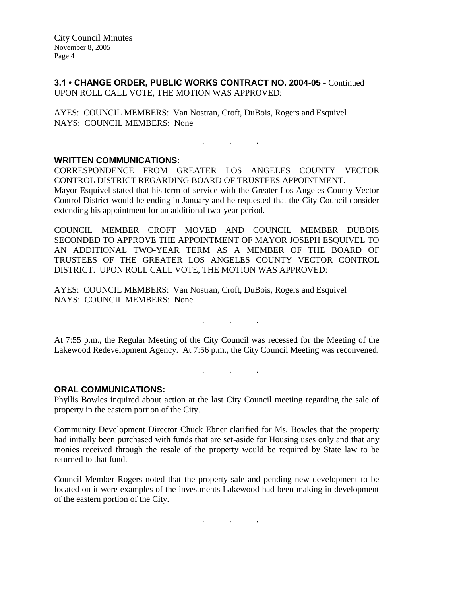**3.1 • CHANGE ORDER, PUBLIC WORKS CONTRACT NO. 2004-05** - Continued UPON ROLL CALL VOTE, THE MOTION WAS APPROVED:

AYES: COUNCIL MEMBERS: Van Nostran, Croft, DuBois, Rogers and Esquivel NAYS: COUNCIL MEMBERS: None

#### . . .

#### **WRITTEN COMMUNICATIONS:**

CORRESPONDENCE FROM GREATER LOS ANGELES COUNTY VECTOR CONTROL DISTRICT REGARDING BOARD OF TRUSTEES APPOINTMENT. Mayor Esquivel stated that his term of service with the Greater Los Angeles County Vector Control District would be ending in January and he requested that the City Council consider extending his appointment for an additional two-year period.

COUNCIL MEMBER CROFT MOVED AND COUNCIL MEMBER DUBOIS SECONDED TO APPROVE THE APPOINTMENT OF MAYOR JOSEPH ESQUIVEL TO AN ADDITIONAL TWO-YEAR TERM AS A MEMBER OF THE BOARD OF TRUSTEES OF THE GREATER LOS ANGELES COUNTY VECTOR CONTROL DISTRICT. UPON ROLL CALL VOTE, THE MOTION WAS APPROVED:

AYES: COUNCIL MEMBERS: Van Nostran, Croft, DuBois, Rogers and Esquivel NAYS: COUNCIL MEMBERS: None

At 7:55 p.m., the Regular Meeting of the City Council was recessed for the Meeting of the Lakewood Redevelopment Agency. At 7:56 p.m., the City Council Meeting was reconvened.

. . .

. . .

#### **ORAL COMMUNICATIONS:**

Phyllis Bowles inquired about action at the last City Council meeting regarding the sale of property in the eastern portion of the City.

Community Development Director Chuck Ebner clarified for Ms. Bowles that the property had initially been purchased with funds that are set-aside for Housing uses only and that any monies received through the resale of the property would be required by State law to be returned to that fund.

Council Member Rogers noted that the property sale and pending new development to be located on it were examples of the investments Lakewood had been making in development of the eastern portion of the City.

. . .